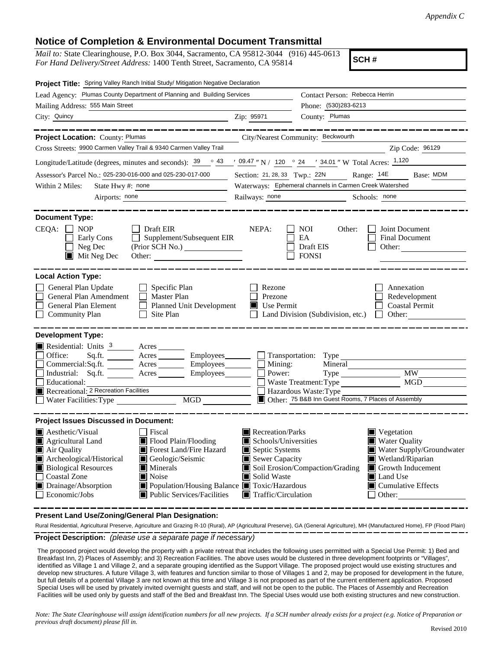## **Notice of Completion & Environmental Document Transmittal**

*Mail to:* State Clearinghouse, P.O. Box 3044, Sacramento, CA 95812-3044 (916) 445-0613 *For Hand Delivery/Street Address:* 1400 Tenth Street, Sacramento, CA 95814

**SCH #**

| Project Title: Spring Valley Ranch Initial Study/ Mitigation Negative Declaration                                                                                                                                                                                                                                                                                                                                                                                                      |                                                                                                                                                  |                                                                                                                                                                                                                                                   |
|----------------------------------------------------------------------------------------------------------------------------------------------------------------------------------------------------------------------------------------------------------------------------------------------------------------------------------------------------------------------------------------------------------------------------------------------------------------------------------------|--------------------------------------------------------------------------------------------------------------------------------------------------|---------------------------------------------------------------------------------------------------------------------------------------------------------------------------------------------------------------------------------------------------|
| Lead Agency: Plumas County Department of Planning and Building Services                                                                                                                                                                                                                                                                                                                                                                                                                |                                                                                                                                                  | Contact Person: Rebecca Herrin                                                                                                                                                                                                                    |
| Mailing Address: 555 Main Street                                                                                                                                                                                                                                                                                                                                                                                                                                                       |                                                                                                                                                  | Phone: (530)283-6213                                                                                                                                                                                                                              |
| City: Quincy<br><u>Zip: 95971</u>                                                                                                                                                                                                                                                                                                                                                                                                                                                      |                                                                                                                                                  | County: Plumas                                                                                                                                                                                                                                    |
| _____________<br>Project Location: County: Plumas                                                                                                                                                                                                                                                                                                                                                                                                                                      |                                                                                                                                                  | _________<br>City/Nearest Community: Beckwourth                                                                                                                                                                                                   |
| Cross Streets: 9900 Carmen Valley Trail & 9340 Carmen Valley Trail                                                                                                                                                                                                                                                                                                                                                                                                                     |                                                                                                                                                  | Zip Code: 96129                                                                                                                                                                                                                                   |
| Longitude/Latitude (degrees, minutes and seconds): $\frac{39}{9}$ $\frac{43}{9}$ $\frac{109.47}{9}$ N / 120 $\degree$ 24 $\degree$ 34.01 " W Total Acres: $\frac{1,120}{9}$                                                                                                                                                                                                                                                                                                            |                                                                                                                                                  |                                                                                                                                                                                                                                                   |
| Assessor's Parcel No.: 025-230-016-000 and 025-230-017-000                                                                                                                                                                                                                                                                                                                                                                                                                             |                                                                                                                                                  | Section: 21, 28, 33 Twp.: 22N Range: 14E<br>Base: MDM                                                                                                                                                                                             |
| Within 2 Miles:<br>State Hwy #: none                                                                                                                                                                                                                                                                                                                                                                                                                                                   | Waterways: Ephemeral channels in Carmen Creek Watershed                                                                                          |                                                                                                                                                                                                                                                   |
| Airports: none                                                                                                                                                                                                                                                                                                                                                                                                                                                                         | Railways: none                                                                                                                                   | Schools: none                                                                                                                                                                                                                                     |
|                                                                                                                                                                                                                                                                                                                                                                                                                                                                                        |                                                                                                                                                  |                                                                                                                                                                                                                                                   |
| <b>Document Type:</b><br>$CEQA: \Box NP$<br>$\Box$ Draft EIR<br>$\Box$ Supplement/Subsequent EIR<br>Early Cons<br>(Prior SCH No.)<br>$\Box$ Neg Dec<br>$\blacksquare$ Mit Neg Dec                                                                                                                                                                                                                                                                                                      | NEPA:                                                                                                                                            | NOI<br>Other:<br>Joint Document<br>EA<br><b>Final Document</b><br>Draft EIS<br>Other:<br><b>FONSI</b>                                                                                                                                             |
| <b>Local Action Type:</b><br>General Plan Update<br>$\Box$ Specific Plan<br>General Plan Amendment<br>$\Box$ Master Plan<br>Planned Unit Development<br>General Plan Element<br>$\Box$ Site Plan<br><b>Community Plan</b>                                                                                                                                                                                                                                                              | Rezone<br>Prezone<br>$\blacksquare$ Use Permit                                                                                                   | Annexation<br>Redevelopment<br><b>Coastal Permit</b><br>$\Box$ Land Division (Subdivision, etc.) $\Box$ Other:                                                                                                                                    |
| <b>Development Type:</b>                                                                                                                                                                                                                                                                                                                                                                                                                                                               |                                                                                                                                                  |                                                                                                                                                                                                                                                   |
| Residential: Units <sup>3</sup> Acres<br>Office:<br>Sq.ft. __________ Acres ___________ Employees________<br>$Commetrical:$ Sq.ft. $\overline{\qquad}$ Acres $\overline{\qquad}$ Employees $\Box$ Mining:<br>Industrial: Sq.ft. <u>Acres</u> Acres Employees <b>Employees</b> Rower:<br>Educational:<br>MGD NGD                                                                                                                                                                        |                                                                                                                                                  | Transportation: Type<br><b>MW</b><br>MG <sub>D</sub><br>Waste Treatment: Type<br>Hazardous Waste: Type<br>Other: 75 B&B Inn Guest Rooms, 7 Places of Assembly                                                                                     |
|                                                                                                                                                                                                                                                                                                                                                                                                                                                                                        |                                                                                                                                                  |                                                                                                                                                                                                                                                   |
| <b>Project Issues Discussed in Document:</b><br><b>Aesthetic/Visual</b><br>  Fiscal<br>Flood Plain/Flooding<br>Agricultural Land<br>Air Quality<br><b>I</b> Forest Land/Fire Hazard<br>Archeological/Historical<br>Geologic/Seismic<br><b>Biological Resources</b><br>$\blacksquare$ Minerals<br><b>Coastal Zone</b><br>$\blacksquare$ Noise<br>$\blacksquare$ Drainage/Absorption<br>■ Population/Housing Balance ■ Toxic/Hazardous<br>Economic/Jobs<br> ■ Public Services/Facilities | Recreation/Parks<br>$\blacksquare$ Schools/Universities<br>Septic Systems<br>Sewer Capacity<br>Solid Waste<br>$\blacksquare$ Traffic/Circulation | $\blacksquare$ Vegetation<br><b>Water Quality</b><br>Water Supply/Groundwater<br>Wetland/Riparian<br>Soil Erosion/Compaction/Grading<br>$\blacksquare$ Growth Inducement<br><b>Land Use</b><br>$\blacksquare$ Cumulative Effects<br>$\Box$ Other: |

**Present Land Use/Zoning/General Plan Designation:**

**Project Description:** *(please use a separate page if necessary)* Rural Residential, Agricultural Preserve, Agriculture and Grazing R-10 (Rural), AP (Agricultural Preserve), GA (General Agriculture), MH (Manufactured Home), FP (Flood Plain)

 The proposed project would develop the property with a private retreat that includes the following uses permitted with a Special Use Permit: 1) Bed and Breakfast Inn, 2) Places of Assembly; and 3) Recreation Facilities. The above uses would be clustered in three development footprints or "Villages", identified as Village 1 and Village 2, and a separate grouping identified as the Support Village. The proposed project would use existing structures and develop new structures. A future Village 3, with features and function similar to those of Villages 1 and 2, may be proposed for development in the future, but full details of a potential Village 3 are not known at this time and Village 3 is not proposed as part of the current entitlement application. Proposed Special Uses will be used by privately invited overnight guests and staff, and will not be open to the public. The Places of Assembly and Recreation Facilities will be used only by guests and staff of the Bed and Breakfast Inn. The Special Uses would use both existing structures and new construction.

*Note: The State Clearinghouse will assign identification numbers for all new projects. If a SCH number already exists for a project (e.g. Notice of Preparation or previous draft document) please fill in.*